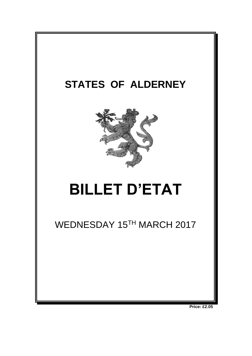

**Price: £2.05**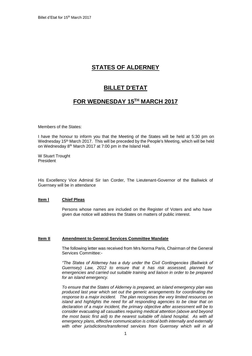# **STATES OF ALDERNEY**

## **BILLET D'ETAT**

### **FOR WEDNESDAY 15 TH MARCH 2017**

Members of the States:

I have the honour to inform you that the Meeting of the States will be held at 5:30 pm on Wednesday 15<sup>th</sup> March 2017. This will be preceded by the People's Meeting, which will be held on Wednesday 8<sup>th</sup> March 2017 at 7:00 pm in the Island Hall.

W Stuart Trought President

His Excellency Vice Admiral Sir Ian Corder, The Lieutenant-Governor of the Bailiwick of Guernsey will be in attendance

#### **Item l Chief Pleas**

Persons whose names are included on the Register of Voters and who have given due notice will address the States on matters of public interest.

#### **Item II Amendment to General Services Committee Mandate**

The following letter was received from Mrs Norma Paris, Chairman of the General Services Committee:-

*"The States of Alderney has a duty under the Civil Contingencies (Bailiwick of Guernsey) Law, 2012 to ensure that it has risk assessed, planned for emergencies and carried out suitable training and liaison in order to be prepared for an island emergency.*

*To ensure that the States of Alderney is prepared, an island emergency plan was produced last year which set out the generic arrangements for coordinating the response to a major incident. The plan recognises the very limited resources on island and highlights the need for all responding agencies to be clear that on declaration of a major incident, the primary objective after assessment will be to consider evacuating all casualties requiring medical attention (above and beyond the most basic first aid) to the nearest suitable off island hospital. As with all emergency plans, effective communication is critical both internally and externally*  with other jurisdictions/transferred services from Guernsey which will in all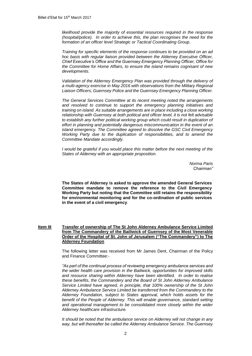*likelihood provide the majority of essential resources required in the response (hospital/police). In order to achieve this, the plan recognises the need for the formation of an officer level Strategic or Tactical Coordinating Group.*

*Training for specific elements of the response continues to be provided on an ad hoc basis with regular liaison provided between the Alderney Executive Officer, Chief Executive's Office and the Guernsey Emergency Planning Officer, Office for the Committee for Home Affairs, to ensure the island remains cognisant of new developments.*

*Validation of the Alderney Emergency Plan was provided through the delivery of a multi-agency exercise in May 2016 with observations from the Military Regional Liaison Officers, Guernsey Police and the Guernsey Emergency Planning Officer.* 

*The General Services Committee at its recent meeting noted the arrangements and resolved to continue to support the emergency planning initiatives and training on island. As suitable arrangements are in place including a close working relationship with Guernsey at both political and officer level, it is not felt advisable*  to establish any further political working group which could result in duplication of *effort in planning and potentially dangerous miscommunication in the event of an island emergency. The Committee agreed to dissolve the GSC Civil Emergency Working Party due to the duplication of responsibilities, and to amend the Committee Mandate accordingly.* 

*I* would be grateful if you would place this matter before the next meeting of the *States of Alderney with an appropriate proposition.*

> *Norma Paris Chairman"*

**The States of Alderney is asked to approve the amended General Services Committee mandate to remove the reference to the Civil Emergency Working Party but noting that the Committee still retains the responsibility for environmental monitoring and for the co-ordination of public services in the event of a civil emergency**.

**Item III Transfer of ownership of The St John Alderney Ambulance Service Limited from The Commandery of the Bailiwick of Guernsey of the Most Venerable Order of the Hospital of St. John of Jerusalem ("The Commandery") to The Alderney Foundation**

> The following letter was received from Mr James Dent, Chairman of the Policy and Finance Committee:-

> *"As part of the continual process of reviewing emergency ambulance services and the wider health care provision in the Bailiwick, opportunities for improved skills and resource sharing within Alderney have been identified. In order to realise these benefits, the Commandery and the Board of St John Alderney Ambulance Service Limited have agreed, in principle, that 100% ownership of the St John Alderney Ambulance Service Limited be transferred from the Commandery to the Alderney Foundation, subject to States approval, which holds assets for the benefit of the People of Alderney. This will enable governance, standard setting and operational management to be consolidated more closely within the wider Alderney healthcare infrastructure.*

> *It should be noted that the ambulance service on Alderney will not change in any way, but will thereafter be called the Alderney Ambulance Service. The Guernsey*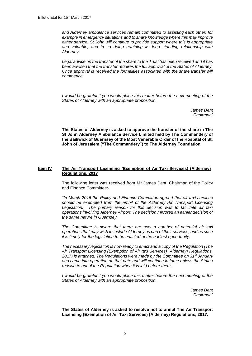*and Alderney ambulance services remain committed to assisting each other, for example in emergency situations and to share knowledge where this may improve either service. St John will continue to provide support where this is appropriate and valuable, and in so doing retaining its long standing relationship with Alderney.*

*Legal advice on the transfer of the share to the Trust has been received and it has been advised that the transfer requires the full approval of the States of Alderney. Once approval is received the formalities associated with the share transfer will commence.* 

*I* would be grateful if you would place this matter before the next meeting of the *States of Alderney with an appropriate proposition.*

> *James Dent Chairman"*

**The States of Alderney is asked to approve the transfer of the share in The St John Alderney Ambulance Service Limited held by The Commandery of the Bailiwick of Guernsey of the Most Venerable Order of the Hospital of St. John of Jerusalem ("The Commandery") to The Alderney Foundation**

#### **Item IV The Air Transport Licensing (Exemption of Air Taxi Services) (Alderney) Regulations, 2017**

The following letter was received from Mr James Dent, Chairman of the Policy and Finance Committee:-

*"In March 2016 the Policy and Finance Committee agreed that air taxi services should be exempted from the ambit of the Alderney Air Transport Licensing Legislation. The primary reason for this decision was to facilitate air taxi operations involving Alderney Airport. The decision mirrored an earlier decision of the same nature in Guernsey.*

*The Committee is aware that there are now a number of potential air taxi operations that may wish to include Alderney as part of their services, and as such it is timely for the legislation to be enacted at the earliest opportunity.*

*The necessary legislation is now ready to enact and a copy of the Regulation (The Air Transport Licensing (Exemption of Air taxi Services) (Alderney) Regulations, 2017) is attached. The Regulations were made by the Committee on 31st January and came into operation on that date and will continue in force unless the States resolve to annul the Regulation when it is laid before them.*

*I* would be grateful if you would place this matter before the next meeting of the *States of Alderney with an appropriate proposition.*

> *James Dent Chairman"*

**The States of Alderney is asked to resolve not to annul The Air Transport Licensing (Exemption of Air Taxi Services) (Alderney) Regulations, 2017.**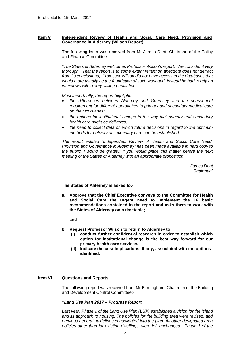#### **Item V Independent Review of Health and Social Care Need, Provision and Governance in Alderney (Wilson Report)**

The following letter was received from Mr James Dent, Chairman of the Policy and Finance Committee:-

*"The States of Alderney welcomes Professor Wilson's report. We consider it very thorough. That the report is to some extent reliant on anecdote does not detract from its conclusions, Professor Wilson did not have access to the databases that would more usually be the foundation of such work and instead he had to rely on interviews with a very willing population.*

*Most importantly, the report highlights:*

- *the differences between Alderney and Guernsey and the consequent requirement for different approaches to primary and secondary medical care on the two islands;*
- *the options for institutional change in the way that primary and secondary health care might be delivered;*
- *the need to collect data on which future decisions in regard to the optimum methods for delivery of secondary care can be established.*

*The report entitled "Independent Review of Health and Social Care Need, Provision and Governance in Alderney" has been made available in hard copy to the public, I would be grateful if you would place this matter before the next meeting of the States of Alderney with an appropriate proposition.*

> *James Dent Chairman"*

**The States of Alderney is asked to:-**

**a. Approve that the Chief Executive conveys to the Committee for Health and Social Care the urgent need to implement the 16 basic recommendations contained in the report and asks them to work with the States of Alderney on a timetable;** 

**and**

- **b. Request Professor Wilson to return to Alderney to:**
	- **(i) conduct further confidential research in order to establish which option for institutional change is the best way forward for our primary health care services.**
	- **(ii) indicate the cost implications, if any, associated with the options identified.**

#### **Item VI Questions and Reports**

The following report was received from Mr Birmingham, Chairman of the Building and Development Control Committee:-

#### *"Land Use Plan 2017 – Progress Report*

*Last year, Phase 1 of the Land Use Plan (LUP) established a vision for the Island and its approach to housing. The policies for the building area were revised, and previous general guidelines consolidated into the plan. All other designated area policies other than for existing dwellings, were left unchanged. Phase 1 of the*